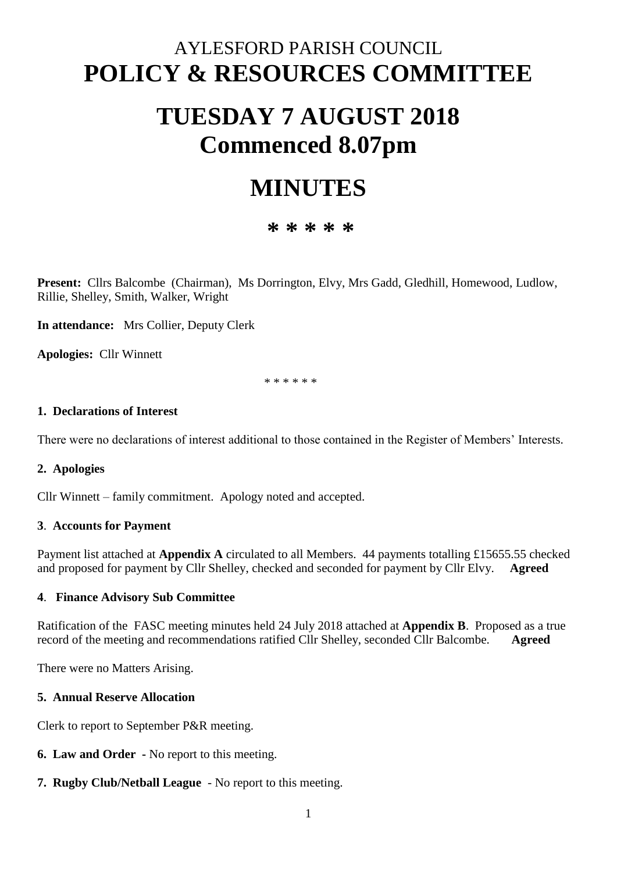# AYLESFORD PARISH COUNCIL **POLICY & RESOURCES COMMITTEE**

# **TUESDAY 7 AUGUST 2018 Commenced 8.07pm**

# **MINUTES**

# **\* \* \* \* \***

**Present:** Cllrs Balcombe (Chairman), Ms Dorrington, Elvy, Mrs Gadd, Gledhill, Homewood, Ludlow, Rillie, Shelley, Smith, Walker, Wright

**In attendance:** Mrs Collier, Deputy Clerk

**Apologies:** Cllr Winnett

\* \* \* \* \* \*

#### **1. Declarations of Interest**

There were no declarations of interest additional to those contained in the Register of Members' Interests.

#### **2. Apologies**

Cllr Winnett – family commitment. Apology noted and accepted.

#### **3**. **Accounts for Payment**

Payment list attached at **Appendix A** circulated to all Members. 44 payments totalling £15655.55 checked and proposed for payment by Cllr Shelley, checked and seconded for payment by Cllr Elvy. **Agreed**

#### **4**. **Finance Advisory Sub Committee**

Ratification of the FASC meeting minutes held 24 July 2018 attached at **Appendix B**. Proposed as a true record of the meeting and recommendations ratified Cllr Shelley, seconded Cllr Balcombe. **Agreed** 

There were no Matters Arising.

### **5. Annual Reserve Allocation**

Clerk to report to September P&R meeting.

- **6. Law and Order -** No report to this meeting.
- **7. Rugby Club/Netball League** No report to this meeting.